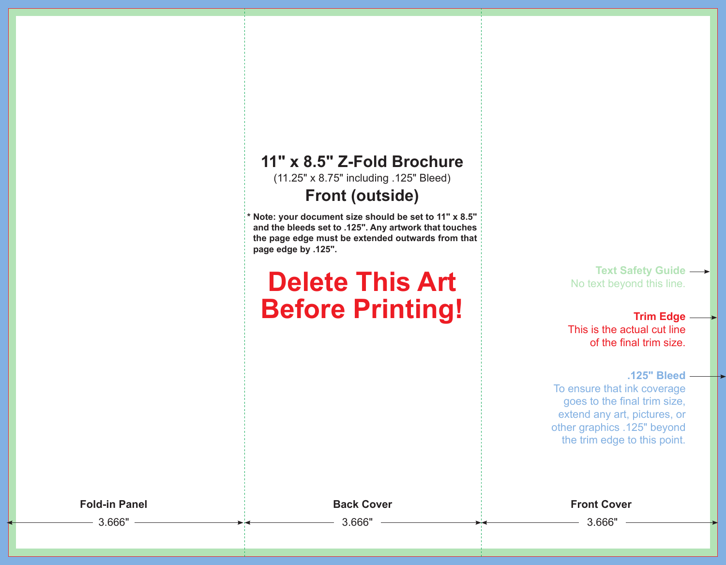## **11" x 8.5" Z-Fold Brochure**

(11.25" x 8.75" including .125" Bleed)

### **Front (outside)**

**\* Note: your document size should be set to 11" x 8.5" and the bleeds set to .125". Any artwork that touches the page edge must be extended outwards from that page edge by .125".**

# **Delete This Art Before Printing!**

**Text Safety Guide**  No text beyond this line.

**Trim Edge** This is the actual cut line of the final trim size.

**.125" Bleed**

To ensure that ink coverage goes to the final trim size, extend any art, pictures, or other graphics .125" beyond the trim edge to this point.

**Fold-in Panel Back Cover Front Cover**

3.666" 3.666" 3.666"